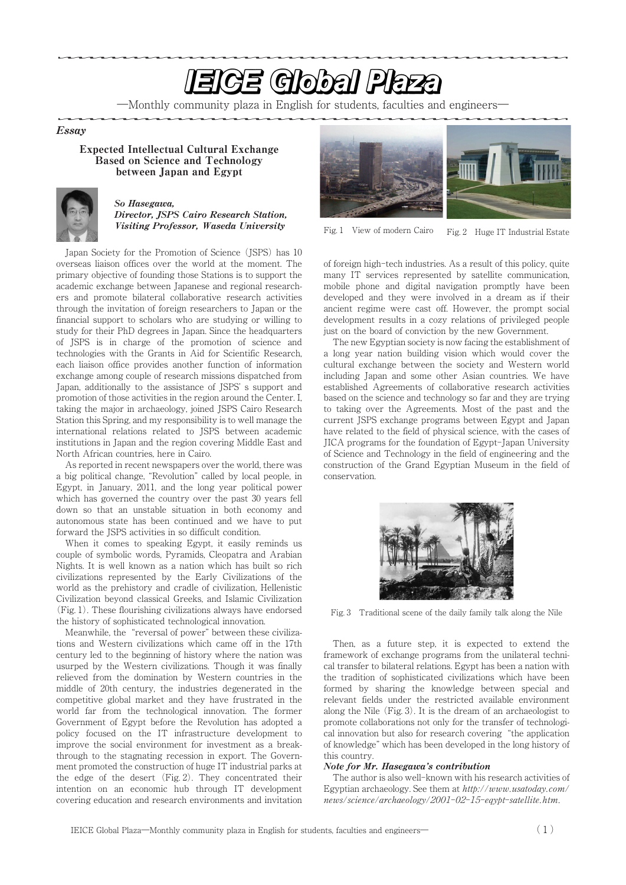# **EIGE Global Plaza**

―Monthly community plaza in English for students, faculties and engineers―

### Essay

### Expected Intellectual Cultural Exchange Based on Science and Technology between Japan and Egypt



### So Hasegawa, Director, JSPS Cairo Research Station, Visiting Professor, Waseda University

Japan Society for the Promotion of Science (JSPS) has 10 overseas liaison offices over the world at the moment. The primary objective of founding those Stations is to support the academic exchange between Japanese and regional researchers and promote bilateral collaborative research activities through the invitation of foreign researchers to Japan or the financial support to scholars who are studying or willing to study for their PhD degrees in Japan. Since the headquarters of JSPS is in charge of the promotion of science and technologies with the Grants in Aid for Scientific Research, each liaison office provides another function of information exchange among couple of research missions dispatched from Japan, additionally to the assistance of JSPS' s support and promotion of those activities in the region around the Center. I, taking the major in archaeology, joined JSPS Cairo Research Station this Spring, and my responsibility is to well manage the international relations related to JSPS between academic institutions in Japan and the region covering Middle East and North African countries, here in Cairo.

As reported in recent newspapers over the world, there was a big political change, "Revolution" called by local people, in Egypt, in January, 2011, and the long year political power which has governed the country over the past 30 years fell down so that an unstable situation in both economy and autonomous state has been continued and we have to put forward the JSPS activities in so difficult condition.

When it comes to speaking Egypt, it easily reminds us couple of symbolic words, Pyramids, Cleopatra and Arabian Nights. It is well known as a nation which has built so rich civilizations represented by the Early Civilizations of the world as the prehistory and cradle of civilization, Hellenistic Civilization beyond classical Greeks, and Islamic Civilization (Fig. 1). These flourishing civilizations always have endorsed the history of sophisticated technological innovation.

Meanwhile, the "reversal of power" between these civilizations and Western civilizations which came off in the 17th century led to the beginning of history where the nation was usurped by the Western civilizations. Though it was finally relieved from the domination by Western countries in the middle of 20th century, the industries degenerated in the competitive global market and they have frustrated in the world far from the technological innovation. The former Government of Egypt before the Revolution has adopted a policy focused on the IT infrastructure development to improve the social environment for investment as a breakthrough to the stagnating recession in export. The Government promoted the construction of huge IT industrial parks at the edge of the desert (Fig. 2). They concentrated their intention on an economic hub through IT development covering education and research environments and invitation



Fig. 1 View of modern Cairo Fig. 2 Huge IT Industrial Estate

of foreign high-tech industries. As a result of this policy, quite many IT services represented by satellite communication, mobile phone and digital navigation promptly have been developed and they were involved in a dream as if their ancient regime were cast off. However, the prompt social development results in a cozy relations of privileged people just on the board of conviction by the new Government.

The new Egyptian society is now facing the establishment of a long year nation building vision which would cover the cultural exchange between the society and Western world including Japan and some other Asian countries. We have established Agreements of collaborative research activities based on the science and technology so far and they are trying to taking over the Agreements. Most of the past and the current JSPS exchange programs between Egypt and Japan have related to the field of physical science, with the cases of JICA programs for the foundation of Egypt-Japan University of Science and Technology in the field of engineering and the construction of the Grand Egyptian Museum in the field of conservation.



Fig. 3 Traditional scene of the daily family talk along the Nile

Then, as a future step, it is expected to extend the framework of exchange programs from the unilateral technical transfer to bilateral relations. Egypt has been a nation with the tradition of sophisticated civilizations which have been formed by sharing the knowledge between special and relevant fields under the restricted available environment along the Nile (Fig. 3). It is the dream of an archaeologist to promote collaborations not only for the transfer of technological innovation but also for research covering"the application of knowledge" which has been developed in the long history of this country.

### Note for Mr. Hasegawa's contribution

The author is also well-known with his research activities of Egyptian archaeology. See them at http://www.usatoday.com/ news/science/archaeology/2001-02-15-eqypt-satellite.htm.